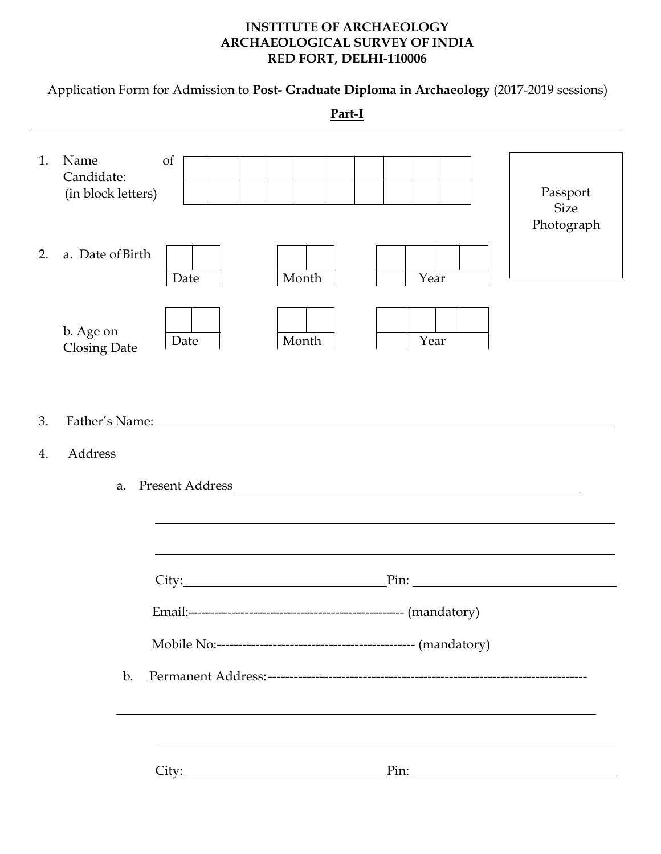#### **INSTITUTE OF ARCHAEOLOGY ARCHAEOLOGICAL SURVEY OF INDIA RED FORT, DELHI-110006**

Application Form for Admission to **Post- Graduate Diploma in Archaeology** (2017-2019 sessions)

**Part-I** 1. Name of Candidate: (in block letters) 2. a. Date of Birth b. Age on  $\overline{\bigcup_{\text{Date}}}$ Closing Date 3. Father's Name: 4. Address a. Present Address City: Pin: Email:-------------------------------------------------- (mandatory) Mobile No:---------------------------------------------- (mandatory) b. Permanent Address:-------------------------------------------------------------------------- City: Pin: Pin: Passport Size Photograph Date Month Year Month Year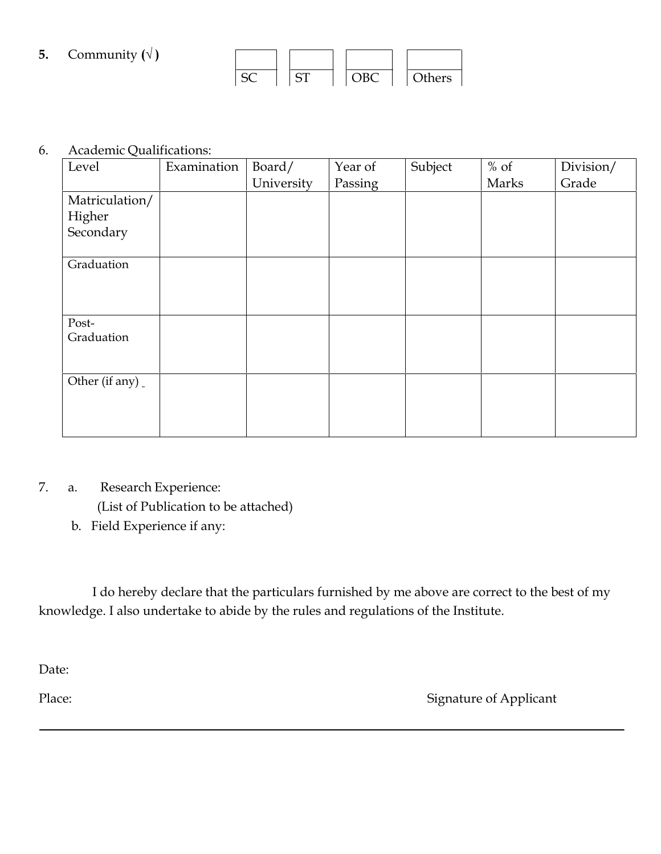# **5.** Community  $(\sqrt{})$

|  | . | זצו | )thers |  |
|--|---|-----|--------|--|

### 6. Academic Qualifications:

| Level          | Examination | Board/     | Year of | Subject | $%$ of | Division/ |
|----------------|-------------|------------|---------|---------|--------|-----------|
|                |             | University | Passing |         | Marks  | Grade     |
| Matriculation/ |             |            |         |         |        |           |
| Higher         |             |            |         |         |        |           |
| Secondary      |             |            |         |         |        |           |
|                |             |            |         |         |        |           |
| Graduation     |             |            |         |         |        |           |
|                |             |            |         |         |        |           |
|                |             |            |         |         |        |           |
| Post-          |             |            |         |         |        |           |
| Graduation     |             |            |         |         |        |           |
|                |             |            |         |         |        |           |
| Other (if any) |             |            |         |         |        |           |
|                |             |            |         |         |        |           |
|                |             |            |         |         |        |           |
|                |             |            |         |         |        |           |

# 7. a. Research Experience:

(List of Publication to be attached)

b. Field Experience if any:

I do hereby declare that the particulars furnished by me above are correct to the best of my knowledge. I also undertake to abide by the rules and regulations of the Institute.

Date:

Place: Signature of Applicant